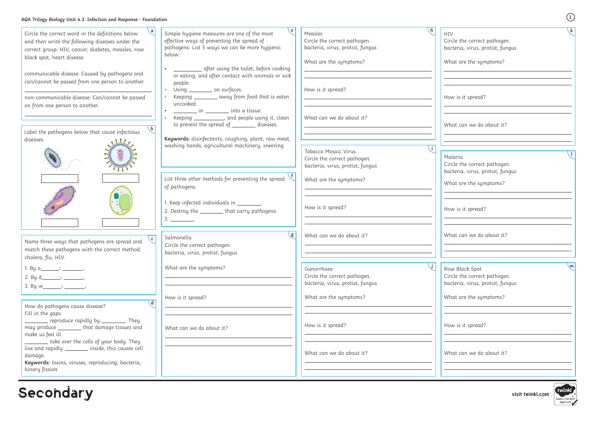| Circle the correct word in the definitions below                                              | Simple hygiene measures are one of the most                                                    | \h.<br>Measles                                                   | HIV                              |
|-----------------------------------------------------------------------------------------------|------------------------------------------------------------------------------------------------|------------------------------------------------------------------|----------------------------------|
| and then write the following diseases under the                                               | effective ways of preventing the spread of                                                     | Circle the correct pathogen.                                     | Circle the correct pathogen.     |
| correct group: HIV, cancer, diabetes, measles, rose                                           | pathogens. List 5 ways we can be more hygienic                                                 | bacteria, virus, protist, fungus                                 | bacteria, virus, protist, fungus |
| black spot, heart disease.                                                                    | below:                                                                                         |                                                                  |                                  |
|                                                                                               |                                                                                                | What are the symptoms?                                           | What are the symptoms?           |
| communicable disease: Caused by pathogens and                                                 | _ after using the toilet, before cooking                                                       |                                                                  |                                  |
| can/cannot be passed from one person to another.                                              | or eating, and after contact with animals or sick<br>people.                                   |                                                                  |                                  |
|                                                                                               | Using ___________ on surfaces.                                                                 | How is it spread?                                                |                                  |
| non-communicable disease: Can/cannot be passed                                                | Keeping ________ away from food that is eaten                                                  |                                                                  | How is it spread?                |
| on from one person to another.                                                                | uncooked.                                                                                      |                                                                  |                                  |
|                                                                                               | <u>____________</u> or __________ into a tissue.                                               |                                                                  |                                  |
|                                                                                               | Keeping ___________, and people using it, clean<br>to prevent the spread of ________ diseases. | What can we do about it?                                         | What can we do about it?         |
| Label the pathogens below that cause infectious                                               |                                                                                                |                                                                  |                                  |
| diseases.                                                                                     | Keywords: disinfectants, coughing, plant, raw meat,                                            |                                                                  |                                  |
|                                                                                               | washing hands, agricultural machinery, sneezing                                                |                                                                  |                                  |
| $\overline{00000}$                                                                            |                                                                                                | Tobacco Mosaic Virus                                             | Malaria                          |
|                                                                                               |                                                                                                | Circle the correct pathogen.<br>bacteria, virus, protist, fungus | Circle the correct pathogen.     |
|                                                                                               |                                                                                                |                                                                  | bacteria, virus, protist, fungus |
|                                                                                               | List three other methods for preventing the spread                                             | What are the symptoms?                                           |                                  |
|                                                                                               | of pathogens.                                                                                  |                                                                  | What are the symptoms?           |
|                                                                                               |                                                                                                |                                                                  |                                  |
|                                                                                               | . Keep infected individuals in _________.                                                      |                                                                  |                                  |
|                                                                                               | 2. Destroy the _________ that carry pathogens.                                                 | How is it spread?                                                | How is it spread?                |
|                                                                                               | $3.$ _______________.                                                                          |                                                                  |                                  |
|                                                                                               |                                                                                                |                                                                  |                                  |
| $\backslash$ c                                                                                | g <br>Salmonella                                                                               | What can we do about it?                                         | What can we do about it?         |
| Name three ways that pathogens are spread and                                                 | Circle the correct pathogen.                                                                   |                                                                  |                                  |
| match these pathogens with the correct method:                                                | bacteria, virus, protist, fungus                                                               |                                                                  |                                  |
| cholera, flu, HIV.                                                                            |                                                                                                |                                                                  |                                  |
| 1. By a_______: ________.                                                                     | What are the symptoms?                                                                         | Gonorrhoea                                                       | Rose Black Spot                  |
| 2. By $d$ $\qquad \qquad$ : $\qquad \qquad$                                                   |                                                                                                | Circle the correct pathogen.                                     | Circle the correct pathogen.     |
| 3. By w_______: ________.                                                                     |                                                                                                | bacteria, virus, protist, fungus                                 | bacteria, virus, protist, fungus |
|                                                                                               | How is it spread?                                                                              | What are the symptoms?                                           | What are the symptoms?           |
| $\overline{d}$<br>How do pathogens cause disease?                                             |                                                                                                |                                                                  |                                  |
| Fill in the gaps.                                                                             |                                                                                                |                                                                  |                                  |
| reproduce rapidly by _________. They                                                          |                                                                                                |                                                                  |                                  |
| may produce ________ that damage tissues and                                                  | What can we do about it?                                                                       | How is it spread?                                                | How is it spread?                |
| make us feel ill.                                                                             |                                                                                                |                                                                  |                                  |
| take over the cells of your body. They<br>live and rapidly _________ inside, this causes cell |                                                                                                |                                                                  |                                  |
| damage.                                                                                       |                                                                                                | What can we do about it?                                         | What can we do about it?         |
| Keywords: toxins, viruses, reproducing, bacteria,                                             |                                                                                                |                                                                  |                                  |
| binary fission                                                                                |                                                                                                |                                                                  |                                  |
|                                                                                               |                                                                                                |                                                                  |                                  |
|                                                                                               |                                                                                                |                                                                  |                                  |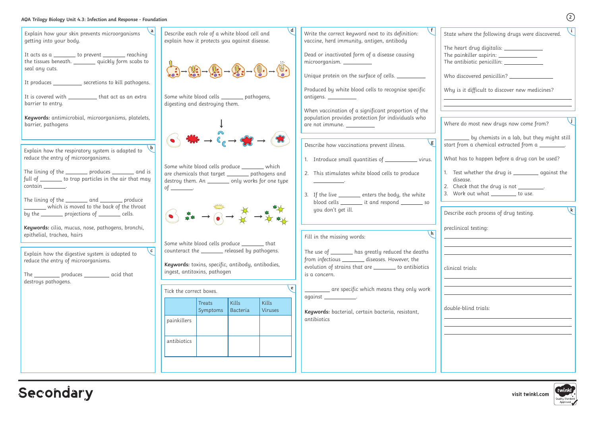## **AQA Trilogy Biology Unit 4.3: Infection and Response - Foundation**

| State where the following drugs were discovered.                                                            |        |
|-------------------------------------------------------------------------------------------------------------|--------|
| The heart drug digitalis: ______________                                                                    |        |
| The painkiller aspirin: _____________<br>The antibiotic penicillin: _____________                           |        |
|                                                                                                             |        |
| Who discovered penicillin? _______________                                                                  |        |
| Why is it difficult to discover new medicines?                                                              |        |
| <u> 1989 - Johann Barn, amerikansk politiker (</u><br>Where do most new drugs now come from?                |        |
|                                                                                                             |        |
| <u>sack by chemists in a lab, but they might still</u><br>start from a chemical extracted from a _________. |        |
| What has to happen before a drug can be used?                                                               |        |
| Test whether the drug is __________ against the<br>1.                                                       |        |
| disease.                                                                                                    |        |
| 2. Check that the drug is not ________.<br>3. Work out what _______ to use.                                 |        |
|                                                                                                             |        |
| Describe each process of drug testing.                                                                      |        |
| preclinical testing:                                                                                        |        |
|                                                                                                             |        |
|                                                                                                             |        |
|                                                                                                             |        |
| clinical trials:                                                                                            |        |
|                                                                                                             |        |
|                                                                                                             |        |
|                                                                                                             |        |
| double-blind trials:                                                                                        |        |
|                                                                                                             |        |
|                                                                                                             |        |
|                                                                                                             |        |
|                                                                                                             |        |
|                                                                                                             |        |
|                                                                                                             |        |
|                                                                                                             |        |
|                                                                                                             | twinkl |

| $\lfloor a \rfloor$<br>Explain how your skin prevents microorganisms<br>getting into your body.                                                                                                                                                                                                                                                                                                                                                                                                                                                                                                                        | $\mathbf{d}$<br>Describe each role of a white blood cell and<br>explain how it protects you against disease.                                                                                                                                                                                                                                                                                    | $\mathcal{F}$<br>Write the correct keyword next to its definition:<br>vaccine, herd immunity, antigen, antibody                                                                                                                                                                                                                                                                                                                                                                                                                                                                                                                                                                                                                                                                                     |
|------------------------------------------------------------------------------------------------------------------------------------------------------------------------------------------------------------------------------------------------------------------------------------------------------------------------------------------------------------------------------------------------------------------------------------------------------------------------------------------------------------------------------------------------------------------------------------------------------------------------|-------------------------------------------------------------------------------------------------------------------------------------------------------------------------------------------------------------------------------------------------------------------------------------------------------------------------------------------------------------------------------------------------|-----------------------------------------------------------------------------------------------------------------------------------------------------------------------------------------------------------------------------------------------------------------------------------------------------------------------------------------------------------------------------------------------------------------------------------------------------------------------------------------------------------------------------------------------------------------------------------------------------------------------------------------------------------------------------------------------------------------------------------------------------------------------------------------------------|
| It acts as a _______ to prevent _______ reaching<br>the tissues beneath. ________ quickly form scabs to<br>seal any cuts.                                                                                                                                                                                                                                                                                                                                                                                                                                                                                              | $\begin{pmatrix} 0 & 0 & 0 \\ 0 & 0 & 0 \\ 0 & 0 & 0 \\ 0 & 0 & 0 \\ 0 & 0 & 0 \\ 0 & 0 & 0 \\ 0 & 0 & 0 & 0 \\ 0 & 0 & 0 & 0 \\ 0 & 0 & 0 & 0 \\ 0 & 0 & 0 & 0 \\ 0 & 0 & 0 & 0 & 0 \\ 0 & 0 & 0 & 0 & 0 \\ 0 & 0 & 0 & 0 & 0 \\ 0 & 0 & 0 & 0 & 0 & 0 \\ 0 & 0 & 0 & 0 & 0 & 0 \\ 0 & 0 & 0 & 0 & 0 & 0 & 0 \\ 0 & 0 & 0 & $                                                                  | Dead or inactivated form of a disease causing<br>microorganism. ___________<br>Unique protein on the surface of cells. _________                                                                                                                                                                                                                                                                                                                                                                                                                                                                                                                                                                                                                                                                    |
| It produces ____________ secretions to kill pathogens.<br>It is covered with ____________ that act as an extra<br>barrier to entry.<br>Keywords: antimicrobial, microorganisms, platelets,<br>barrier, pathogens                                                                                                                                                                                                                                                                                                                                                                                                       | Some white blood cells ________ pathogens,<br>digesting and destroying them.                                                                                                                                                                                                                                                                                                                    | Produced by white blood cells to recognise specific<br>$antigens. \_\_$<br>When vaccination of a significant proportion of the<br>population provides protection for individuals who<br>are not immune. _________                                                                                                                                                                                                                                                                                                                                                                                                                                                                                                                                                                                   |
| $\mathbf{b}$<br>Explain how the respiratory system is adapted to<br>reduce the entry of microorganisms.<br>The lining of the __________ produces _________ and is<br>full of _______ to trap particles in the air that may<br>$\mathsf{contain} \_\_\_\_\_\$<br>The lining of the __________ and _________ produce<br>_______ which is moved to the back of the throat<br>by the _______ projections of ______ cells.<br>Keywords: cilia, mucus, nose, pathogens, bronchi,<br>epithelial, trachea, hairs<br>$\sqrt{c}$ $\mid$<br>Explain how the digestive system is adapted to<br>reduce the entry of microorganisms. | $\mathbf{H} \rightarrow \mathbf{C} \rightarrow \mathbf{C}$<br>Some white blood cells produce _________ which<br>are chemicals that target ________ pathogens and<br>destroy them. An __________ only works for one type<br>of __________.<br>Some white blood cells produce ________ that<br>counteract the _______ released by pathogens.<br>Keywords: toxins, specific, antibody, antibodies, | $\mathsf{g}$<br>Describe how vaccinations prevent illness.<br>1. Introduce small quantities of ____________ virus.<br>2. This stimulates white blood cells to produce<br>3. If the live ______ enters the body, the white<br>blood cells _________ it and respond __________ so<br>you don't get ill.<br>$\mathsf{h}$<br>Fill in the missing words:<br>The use of _______ has greatly reduced the deaths<br>from infectious _________ diseases. However, the                                                                                                                                                                                                                                                                                                                                        |
| The ____________ produces ___________ acid that<br>destroys pathogens.                                                                                                                                                                                                                                                                                                                                                                                                                                                                                                                                                 | ingest, antitoxins, pathogen<br>e<br>Tick the correct boxes.<br>Kills<br>Kills<br>Treats<br>Bacteria<br>Viruses<br>Symptoms<br>painkillers                                                                                                                                                                                                                                                      | evolution of strains that are _______ to antibiotics<br>is a concern.<br>are specific which means they only work<br>$\begin{minipage}{.4\linewidth} aqainst \begin{minipage}{.4\linewidth} \end{minipage} \begin{minipage}{.4\linewidth} \centering \end{minipage} \begin{minipage}{.4\linewidth} \centering \begin{minipage}{.4\linewidth} \centering \end{minipage} \begin{minipage}{.4\linewidth} \centering \end{minipage} \begin{minipage}{.4\linewidth} \centering \begin{minipage}{.4\linewidth} \centering \centering \end{minipage} \begin{minipage}{.4\linewidth} \centering \centering \end{minipage} \begin{minipage}{.4\linewidth} \centering \centering \end{minipage} \begin{minipage}{.4\linewidth} \centering$<br>Keywords: bacterial, certain bacteria, resistant,<br>antibiotics |
|                                                                                                                                                                                                                                                                                                                                                                                                                                                                                                                                                                                                                        | antibiotics                                                                                                                                                                                                                                                                                                                                                                                     |                                                                                                                                                                                                                                                                                                                                                                                                                                                                                                                                                                                                                                                                                                                                                                                                     |

## Secondary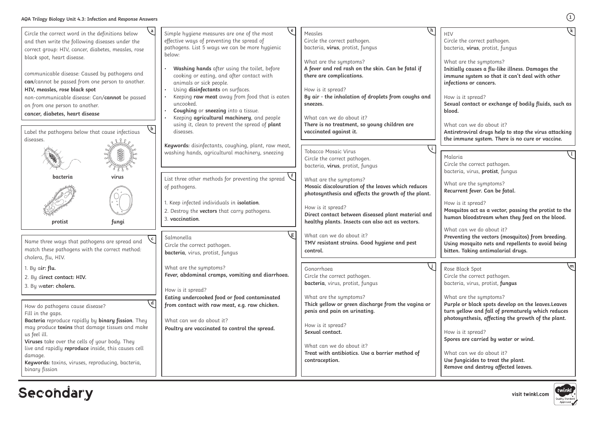**visit twinkl.com**

| Circle the correct word in the definitions below<br>and then write the following diseases under the<br>correct group: HIV, cancer, diabetes, measles, rose<br>black spot, heart disease.<br>communicable disease: Caused by pathogens and<br>can/cannot be passed from one person to another.<br>HIV, measles, rose black spot<br>non-communicable disease: Can/cannot be passed<br>on from one person to another.<br>cancer, diabetes, heart disease<br>Label the pathogens below that cause infectious<br>diseases. | Simple hygiene measures are one of the most<br>effective ways of preventing the spread of<br>pathogens. List 5 ways we can be more hygienic<br>below:<br>Washing hands after using the toilet, before<br>cooking or eating, and after contact with<br>animals or sick people.<br>Using disinfectants on surfaces.<br>Keeping raw meat away from food that is eaten<br>uncooked.<br>Coughing or sneezing into a tissue.<br>Keeping agricultural machinery, and people<br>using it, clean to prevent the spread of plant<br>diseases. | Measles<br>H<br>Circle the correct pathogen.<br>Ci<br>bacteria, virus, protist, fungus<br>bc<br>What are the symptoms?<br>W<br>A fever and red rash on the skin. Can be fatal if<br>In<br>there are complications.<br>in<br>in<br>How is it spread?<br>By air - the inhalation of droplets from coughs and<br>H<br>$S\epsilon$<br>sneezes.<br>bl<br>What can we do about it?<br>There is no treatment, so young children are<br>W<br>vaccinated against it.<br>A<br>th |
|-----------------------------------------------------------------------------------------------------------------------------------------------------------------------------------------------------------------------------------------------------------------------------------------------------------------------------------------------------------------------------------------------------------------------------------------------------------------------------------------------------------------------|-------------------------------------------------------------------------------------------------------------------------------------------------------------------------------------------------------------------------------------------------------------------------------------------------------------------------------------------------------------------------------------------------------------------------------------------------------------------------------------------------------------------------------------|------------------------------------------------------------------------------------------------------------------------------------------------------------------------------------------------------------------------------------------------------------------------------------------------------------------------------------------------------------------------------------------------------------------------------------------------------------------------|
|                                                                                                                                                                                                                                                                                                                                                                                                                                                                                                                       | Keywords: disinfectants, coughing, plant, raw meat,<br>washing hands, agricultural machinery, sneezing                                                                                                                                                                                                                                                                                                                                                                                                                              | Tobacco Mosaic Virus<br>M<br>Circle the correct pathogen.<br>Ci<br>bacteria, virus, protist, fungus                                                                                                                                                                                                                                                                                                                                                                    |
| virus<br>bacteria<br>fungi<br>protist                                                                                                                                                                                                                                                                                                                                                                                                                                                                                 | List three other methods for preventing the spread<br>of pathogens.<br>1. Keep infected individuals in isolation.<br>2. Destroy the vectors that carry pathogens.<br>3. vaccination.                                                                                                                                                                                                                                                                                                                                                | bc<br>What are the symptoms?<br>W<br>Mosaic discolouration of the leaves which reduces<br>R<br>photosynthesis and affects the growth of the plant.<br>H <sub>0</sub><br>How is it spread?<br>M<br>Direct contact between diseased plant material and<br>hı<br>healthy plants. Insects can also act as vectors.<br>W                                                                                                                                                    |
| $\mathbf{c}$<br>Name three ways that pathogens are spread and<br>match these pathogens with the correct method:<br>cholera, flu, HIV.                                                                                                                                                                                                                                                                                                                                                                                 | Salmonella<br>Circle the correct pathogen<br>bacteria, virus, protist, fungus                                                                                                                                                                                                                                                                                                                                                                                                                                                       | What can we do about it?<br>P <sub>I</sub><br>TMV resistant strains. Good hygiene and pest<br>control.<br>bi                                                                                                                                                                                                                                                                                                                                                           |
| 1. By $air:$ flu.<br>2. By direct contact: HIV.<br>3. By water: cholera.                                                                                                                                                                                                                                                                                                                                                                                                                                              | What are the symptoms?<br>Fever, abdominal cramps, vomiting and diarrhoea.<br>How is it spread?                                                                                                                                                                                                                                                                                                                                                                                                                                     | Gonorrhoea<br>Rc<br>Circle the correct pathogen.<br>Ci<br>bo<br>bacteria, virus, protist, fungus<br>What are the symptoms?<br>W                                                                                                                                                                                                                                                                                                                                        |
| How do pathogens cause disease?<br>Fill in the gaps.<br>Bacteria reproduce rapidly by binary fission. They<br>may produce toxins that damage tissues and make<br>us feel ill.<br>Viruses take over the cells of your body. They<br>live and rapidly reproduce inside, this causes cell<br>damage.<br>Keywords: toxins, viruses, reproducing, bacteria,<br>binary fission                                                                                                                                              | Eating undercooked food or food contaminated<br>from contact with raw meat, e.g. raw chicken.<br>What can we do about it?<br>Poultry are vaccinated to control the spread.                                                                                                                                                                                                                                                                                                                                                          | Thick yellow or green discharge from the vagina or<br>P <sub>l</sub><br>penis and pain on urinating.<br>tu<br>pł<br>How is it spread?<br>Sexual contact.<br>H <sub>0</sub><br>Sp<br>What can we do about it?<br>Treat with antibiotics. Use a barrier method of<br>W<br>contraception.<br>U.<br>Re                                                                                                                                                                     |

**Secondary**